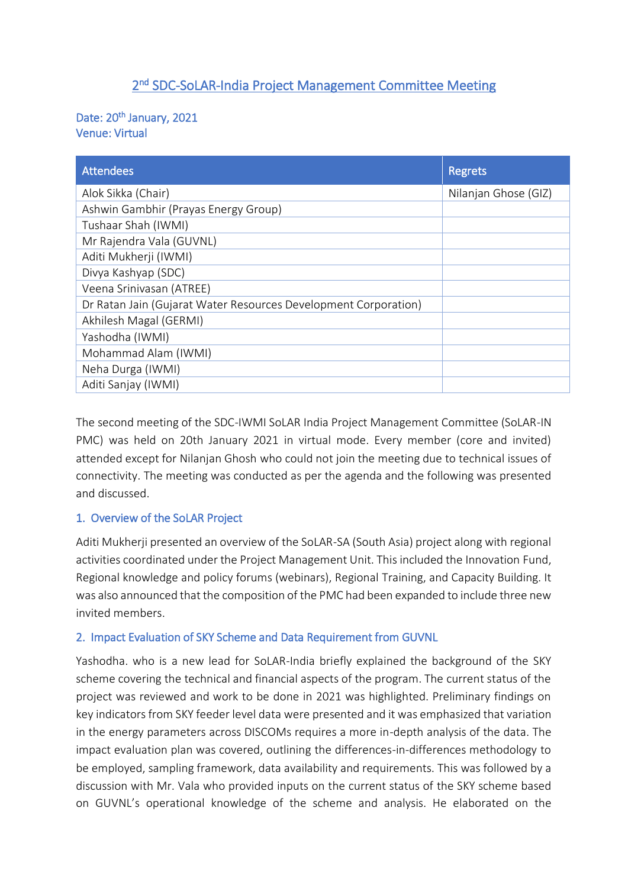# 2<sup>nd</sup> SDC-SoLAR-India Project Management Committee Meeting

#### Date: 20<sup>th</sup> January, 2021 Venue: Virtual

| <b>Attendees</b>                                                | <b>Regrets</b>       |
|-----------------------------------------------------------------|----------------------|
| Alok Sikka (Chair)                                              | Nilanjan Ghose (GIZ) |
| Ashwin Gambhir (Prayas Energy Group)                            |                      |
| Tushaar Shah (IWMI)                                             |                      |
| Mr Rajendra Vala (GUVNL)                                        |                      |
| Aditi Mukherji (IWMI)                                           |                      |
| Divya Kashyap (SDC)                                             |                      |
| Veena Srinivasan (ATREE)                                        |                      |
| Dr Ratan Jain (Gujarat Water Resources Development Corporation) |                      |
| Akhilesh Magal (GERMI)                                          |                      |
| Yashodha (IWMI)                                                 |                      |
| Mohammad Alam (IWMI)                                            |                      |
| Neha Durga (IWMI)                                               |                      |
| Aditi Sanjay (IWMI)                                             |                      |

The second meeting of the SDC-IWMI SoLAR India Project Management Committee (SoLAR-IN PMC) was held on 20th January 2021 in virtual mode. Every member (core and invited) attended except for Nilanjan Ghosh who could not join the meeting due to technical issues of connectivity. The meeting was conducted as per the agenda and the following was presented and discussed.

## 1. Overview of the SoLAR Project

Aditi Mukherji presented an overview of the SoLAR-SA (South Asia) project along with regional activities coordinated under the Project Management Unit. This included the Innovation Fund, Regional knowledge and policy forums (webinars), Regional Training, and Capacity Building. It was also announced that the composition of the PMC had been expanded to include three new invited members.

## 2. Impact Evaluation of SKY Scheme and Data Requirement from GUVNL

Yashodha. who is a new lead for SoLAR-India briefly explained the background of the SKY scheme covering the technical and financial aspects of the program. The current status of the project was reviewed and work to be done in 2021 was highlighted. Preliminary findings on key indicators from SKY feeder level data were presented and it was emphasized that variation in the energy parameters across DISCOMs requires a more in-depth analysis of the data. The impact evaluation plan was covered, outlining the differences-in-differences methodology to be employed, sampling framework, data availability and requirements. This was followed by a discussion with Mr. Vala who provided inputs on the current status of the SKY scheme based on GUVNL's operational knowledge of the scheme and analysis. He elaborated on the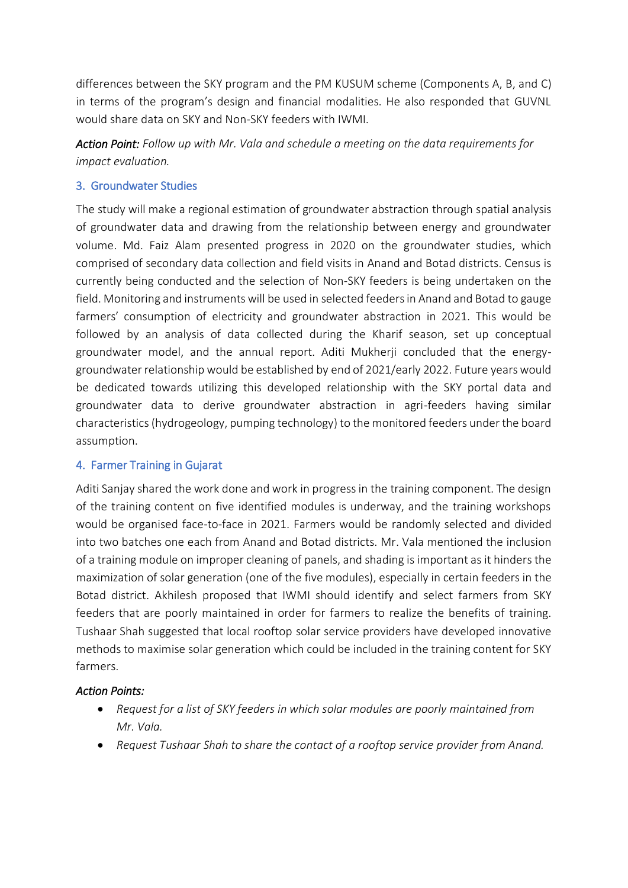differences between the SKY program and the PM KUSUM scheme (Components A, B, and C) in terms of the program's design and financial modalities. He also responded that GUVNL would share data on SKY and Non-SKY feeders with IWMI.

*Action Point: Follow up with Mr. Vala and schedule a meeting on the data requirements for impact evaluation.* 

## 3. Groundwater Studies

The study will make a regional estimation of groundwater abstraction through spatial analysis of groundwater data and drawing from the relationship between energy and groundwater volume. Md. Faiz Alam presented progress in 2020 on the groundwater studies, which comprised of secondary data collection and field visits in Anand and Botad districts. Census is currently being conducted and the selection of Non-SKY feeders is being undertaken on the field. Monitoring and instruments will be used in selected feeders in Anand and Botad to gauge farmers' consumption of electricity and groundwater abstraction in 2021. This would be followed by an analysis of data collected during the Kharif season, set up conceptual groundwater model, and the annual report. Aditi Mukherji concluded that the energygroundwater relationship would be established by end of 2021/early 2022. Future years would be dedicated towards utilizing this developed relationship with the SKY portal data and groundwater data to derive groundwater abstraction in agri-feeders having similar characteristics(hydrogeology, pumping technology) to the monitored feeders under the board assumption.

## 4. Farmer Training in Gujarat

Aditi Sanjay shared the work done and work in progress in the training component. The design of the training content on five identified modules is underway, and the training workshops would be organised face-to-face in 2021. Farmers would be randomly selected and divided into two batches one each from Anand and Botad districts. Mr. Vala mentioned the inclusion of a training module on improper cleaning of panels, and shading isimportant as it hinders the maximization of solar generation (one of the five modules), especially in certain feeders in the Botad district. Akhilesh proposed that IWMI should identify and select farmers from SKY feeders that are poorly maintained in order for farmers to realize the benefits of training. Tushaar Shah suggested that local rooftop solar service providers have developed innovative methods to maximise solar generation which could be included in the training content for SKY farmers.

## *Action Points:*

- *Request for a list of SKY feeders in which solar modules are poorly maintained from Mr. Vala.*
- *Request Tushaar Shah to share the contact of a rooftop service provider from Anand.*